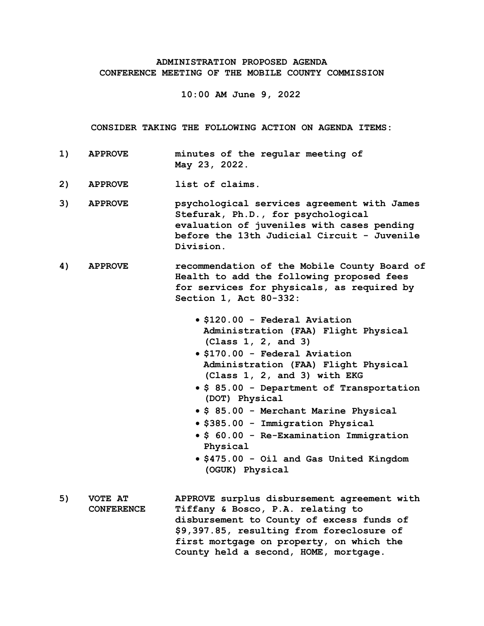## **ADMINISTRATION PROPOSED AGENDA CONFERENCE MEETING OF THE MOBILE COUNTY COMMISSION**

**10:00 AM June 9, 2022**

**CONSIDER TAKING THE FOLLOWING ACTION ON AGENDA ITEMS:**

- **1) APPROVE minutes of the regular meeting of May 23, 2022.**
- **2) APPROVE list of claims.**
- **3) APPROVE psychological services agreement with James Stefurak, Ph.D., for psychological evaluation of juveniles with cases pending before the 13th Judicial Circuit - Juvenile Division.**
- **4) APPROVE recommendation of the Mobile County Board of Health to add the following proposed fees for services for physicals, as required by Section 1, Act 80-332:**
	- **\$120.00 Federal Aviation Administration (FAA) Flight Physical (Class 1, 2, and 3)**
	- **\$170.00 Federal Aviation Administration (FAA) Flight Physical (Class 1, 2, and 3) with EKG**
	- **\$ 85.00 Department of Transportation (DOT) Physical**
	- **\$ 85.00 Merchant Marine Physical**
	- **\$385.00 Immigration Physical**
	- **\$ 60.00 Re-Examination Immigration Physical**
	- **\$475.00 Oil and Gas United Kingdom (OGUK) Physical**
- **5) VOTE AT CONFERENCE APPROVE surplus disbursement agreement with Tiffany & Bosco, P.A. relating to disbursement to County of excess funds of \$9,397.85, resulting from foreclosure of first mortgage on property, on which the County held a second, HOME, mortgage.**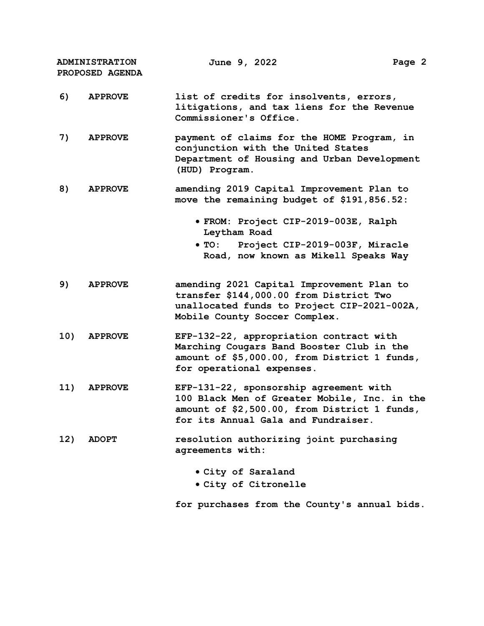**ADMINISTRATION PROPOSED AGENDA June 9, 2022 Page 2**

- **6) APPROVE list of credits for insolvents, errors, litigations, and tax liens for the Revenue Commissioner's Office.**
- **7) APPROVE payment of claims for the HOME Program, in conjunction with the United States Department of Housing and Urban Development (HUD) Program.**
- **8) APPROVE amending 2019 Capital Improvement Plan to move the remaining budget of \$191,856.52:**
	- **FROM: Project CIP-2019-003E, Ralph Leytham Road**
	- **TO: Project CIP-2019-003F, Miracle Road, now known as Mikell Speaks Way**
- **9) APPROVE amending 2021 Capital Improvement Plan to transfer \$144,000.00 from District Two unallocated funds to Project CIP-2021-002A, Mobile County Soccer Complex.**
- **10) APPROVE EFP-132-22, appropriation contract with Marching Cougars Band Booster Club in the amount of \$5,000.00, from District 1 funds, for operational expenses.**
- **11) APPROVE EFP-131-22, sponsorship agreement with 100 Black Men of Greater Mobile, Inc. in the amount of \$2,500.00, from District 1 funds, for its Annual Gala and Fundraiser.**
- **12) ADOPT resolution authorizing joint purchasing agreements with:**
	- **City of Saraland**
	- **City of Citronelle**

**for purchases from the County's annual bids.**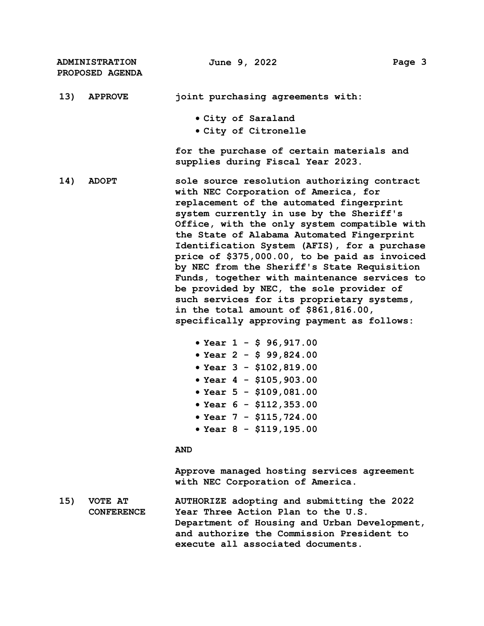**ADMINISTRATION PROPOSED AGENDA June 9, 2022 Page 3 13) APPROVE joint purchasing agreements with: City of Saraland City of Citronelle for the purchase of certain materials and supplies during Fiscal Year 2023. 14) ADOPT sole source resolution authorizing contract with NEC Corporation of America, for replacement of the automated fingerprint system currently in use by the Sheriff's Office, with the only system compatible with the State of Alabama Automated Fingerprint Identification System (AFIS), for a purchase price of \$375,000.00, to be paid as invoiced by NEC from the Sheriff's State Requisition Funds, together with maintenance services to be provided by NEC, the sole provider of such services for its proprietary systems, in the total amount of \$861,816.00, specifically approving payment as follows: Year 1 - \$ 96,917.00 Year 2 - \$ 99,824.00 Year 3 - \$102,819.00 Year 4 - \$105,903.00 Year 5 - \$109,081.00 Year 6 - \$112,353.00 Year 7 - \$115,724.00 Year 8 - \$119,195.00 AND Approve managed hosting services agreement with NEC Corporation of America. 15) VOTE AT CONFERENCE AUTHORIZE adopting and submitting the 2022 Year Three Action Plan to the U.S. Department of Housing and Urban Development, and authorize the Commission President to execute all associated documents.**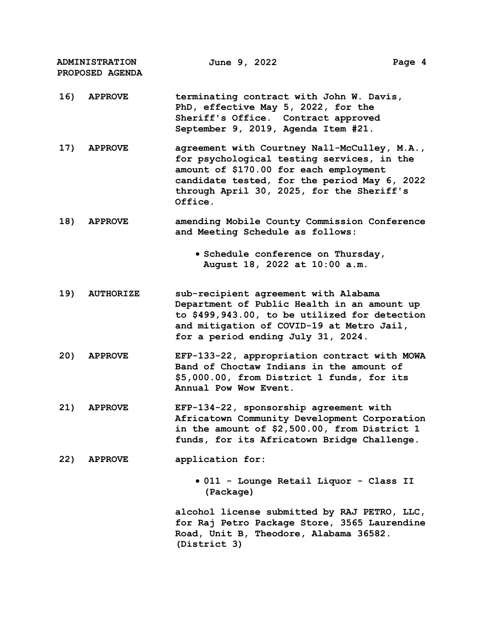| <b>ADMINISTRATION</b><br>PROPOSED AGENDA |                  | June 9, 2022                                                                                                                                                                                                                                 | Page 4 |
|------------------------------------------|------------------|----------------------------------------------------------------------------------------------------------------------------------------------------------------------------------------------------------------------------------------------|--------|
| 16)                                      | <b>APPROVE</b>   | terminating contract with John W. Davis,<br>PhD, effective May 5, 2022, for the<br>Sheriff's Office. Contract approved<br>September 9, 2019, Agenda Item #21.                                                                                |        |
| 17)                                      | <b>APPROVE</b>   | agreement with Courtney Nall-McCulley, M.A.,<br>for psychological testing services, in the<br>amount of \$170.00 for each employment<br>candidate tested, for the period May 6, 2022<br>through April 30, 2025, for the Sheriff's<br>Office. |        |
| 18)                                      | <b>APPROVE</b>   | amending Mobile County Commission Conference<br>and Meeting Schedule as follows:                                                                                                                                                             |        |
|                                          |                  | · Schedule conference on Thursday,<br>August 18, 2022 at 10:00 a.m.                                                                                                                                                                          |        |
| 19)                                      | <b>AUTHORIZE</b> | sub-recipient agreement with Alabama<br>Department of Public Health in an amount up<br>to \$499,943.00, to be utilized for detection<br>and mitigation of COVID-19 at Metro Jail,<br>for a period ending July 31, 2024.                      |        |
| 20)                                      | <b>APPROVE</b>   | EFP-133-22, appropriation contract with MOWA<br>Band of Choctaw Indians in the amount of<br>\$5,000.00, from District 1 funds, for its<br>Annual Pow Wow Event.                                                                              |        |
| 21)                                      | <b>APPROVE</b>   | EFP-134-22, sponsorship agreement with<br>Africatown Community Development Corporation<br>in the amount of \$2,500.00, from District 1<br>funds, for its Africatown Bridge Challenge.                                                        |        |
| 22)                                      | <b>APPROVE</b>   | application for:                                                                                                                                                                                                                             |        |
|                                          |                  | • 011 - Lounge Retail Liquor - Class II<br>(Package)                                                                                                                                                                                         |        |
|                                          |                  | alcohol license submitted by RAJ PETRO, LLC,<br>for Raj Petro Package Store, 3565 Laurendine<br>Road, Unit B, Theodore, Alabama 36582.<br>(District 3)                                                                                       |        |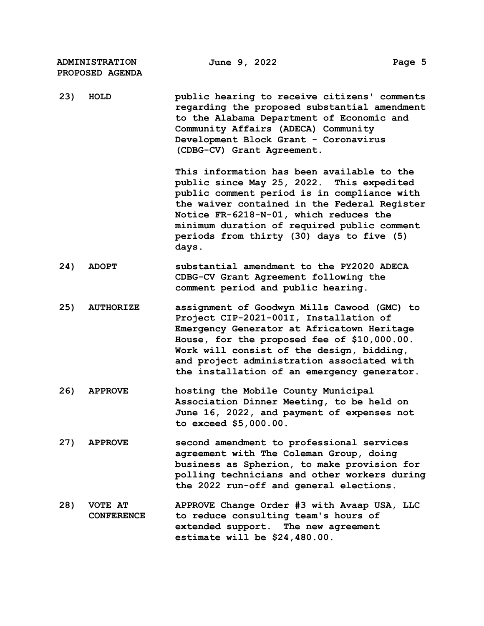| <b>ADMINISTRATION</b><br>PROPOSED AGENDA | June 9, 2022                                                                                                                                                                                                                                                                                                                          | Page 5 |
|------------------------------------------|---------------------------------------------------------------------------------------------------------------------------------------------------------------------------------------------------------------------------------------------------------------------------------------------------------------------------------------|--------|
| 23)<br>HOLD                              | public hearing to receive citizens' comments<br>regarding the proposed substantial amendment<br>to the Alabama Department of Economic and<br>Community Affairs (ADECA) Community<br>Development Block Grant - Coronavirus<br>(CDBG-CV) Grant Agreement.                                                                               |        |
|                                          | This information has been available to the<br>public since May 25, 2022. This expedited<br>public comment period is in compliance with<br>the waiver contained in the Federal Register<br>Notice FR-6218-N-01, which reduces the<br>minimum duration of required public comment<br>periods from thirty (30) days to five (5)<br>days. |        |
| 24)<br><b>ADOPT</b>                      | substantial amendment to the PY2020 ADECA<br>CDBG-CV Grant Agreement following the<br>comment period and public hearing.                                                                                                                                                                                                              |        |
| 25)<br><b>AUTHORIZE</b>                  | assignment of Goodwyn Mills Cawood (GMC) to<br>Project CIP-2021-001I, Installation of<br>Emergency Generator at Africatown Heritage<br>House, for the proposed fee of \$10,000.00.<br>Work will consist of the design, bidding,<br>and project administration associated with<br>the installation of an emergency generator.          |        |
| 26)<br><b>APPROVE</b>                    | hosting the Mobile County Municipal<br>Association Dinner Meeting, to be held on<br>June 16, 2022, and payment of expenses not<br>to exceed $$5,000.00.$                                                                                                                                                                              |        |
| 27)<br><b>APPROVE</b>                    | second amendment to professional services<br>agreement with The Coleman Group, doing<br>business as Spherion, to make provision for<br>polling technicians and other workers during<br>the 2022 run-off and general elections.                                                                                                        |        |
| 28)<br>VOTE AT<br><b>CONFERENCE</b>      | APPROVE Change Order #3 with Avaap USA, LLC<br>to reduce consulting team's hours of<br>extended support. The new agreement<br>estimate will be $$24,480.00.$                                                                                                                                                                          |        |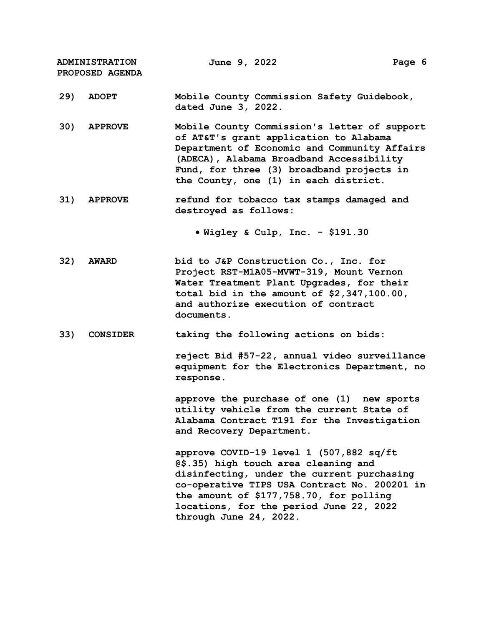**ADMINISTRATION PROPOSED AGENDA June 9, 2022 Page 6 29) ADOPT Mobile County Commission Safety Guidebook, dated June 3, 2022. 30) APPROVE Mobile County Commission's letter of support of AT&T's grant application to Alabama Department of Economic and Community Affairs (ADECA), Alabama Broadband Accessibility Fund, for three (3) broadband projects in the County, one (1) in each district. 31) APPROVE refund for tobacco tax stamps damaged and destroyed as follows: Wigley & Culp, Inc. - \$191.30 32) AWARD bid to J&P Construction Co., Inc. for Project RST-M1A05-MVWT-319, Mount Vernon Water Treatment Plant Upgrades, for their total bid in the amount of \$2,347,100.00, and authorize execution of contract documents. 33) CONSIDER taking the following actions on bids: reject Bid #57-22, annual video surveillance equipment for the Electronics Department, no response. approve the purchase of one (1) new sports utility vehicle from the current State of Alabama Contract T191 for the Investigation and Recovery Department. approve COVID-19 level 1 (507,882 sq/ft @\$.35) high touch area cleaning and disinfecting, under the current purchasing co-operative TIPS USA Contract No. 200201 in the amount of \$177,758.70, for polling locations, for the period June 22, 2022** 

**through June 24, 2022.**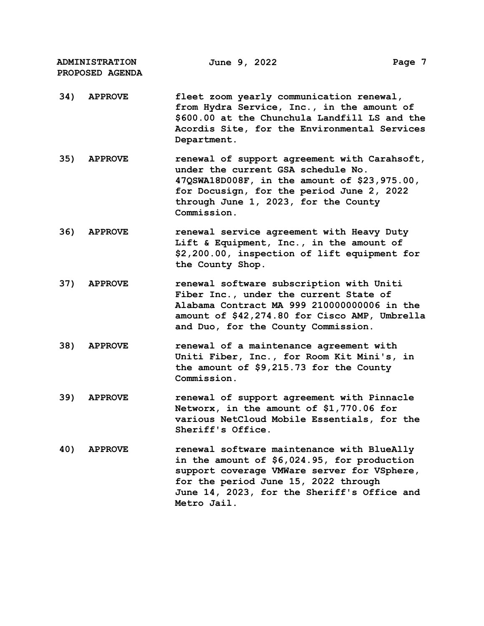**ADMINISTRATION PROPOSED AGENDA June 9, 2022 Page 7**

- **34) APPROVE fleet zoom yearly communication renewal, from Hydra Service, Inc., in the amount of \$600.00 at the Chunchula Landfill LS and the Acordis Site, for the Environmental Services Department.**
- **35) APPROVE renewal of support agreement with Carahsoft, under the current GSA schedule No. 47QSWA18D008F, in the amount of \$23,975.00, for Docusign, for the period June 2, 2022 through June 1, 2023, for the County Commission.**
- **36) APPROVE renewal service agreement with Heavy Duty Lift & Equipment, Inc., in the amount of \$2,200.00, inspection of lift equipment for the County Shop.**
- **37) APPROVE renewal software subscription with Uniti Fiber Inc., under the current State of Alabama Contract MA 999 210000000006 in the amount of \$42,274.80 for Cisco AMP, Umbrella and Duo, for the County Commission.**
- **38) APPROVE renewal of a maintenance agreement with Uniti Fiber, Inc., for Room Kit Mini's, in the amount of \$9,215.73 for the County Commission.**
- **39) APPROVE renewal of support agreement with Pinnacle Networx, in the amount of \$1,770.06 for various NetCloud Mobile Essentials, for the Sheriff's Office.**
- **40) APPROVE renewal software maintenance with BlueAlly in the amount of \$6,024.95, for production support coverage VMWare server for VSphere, for the period June 15, 2022 through June 14, 2023, for the Sheriff's Office and Metro Jail.**